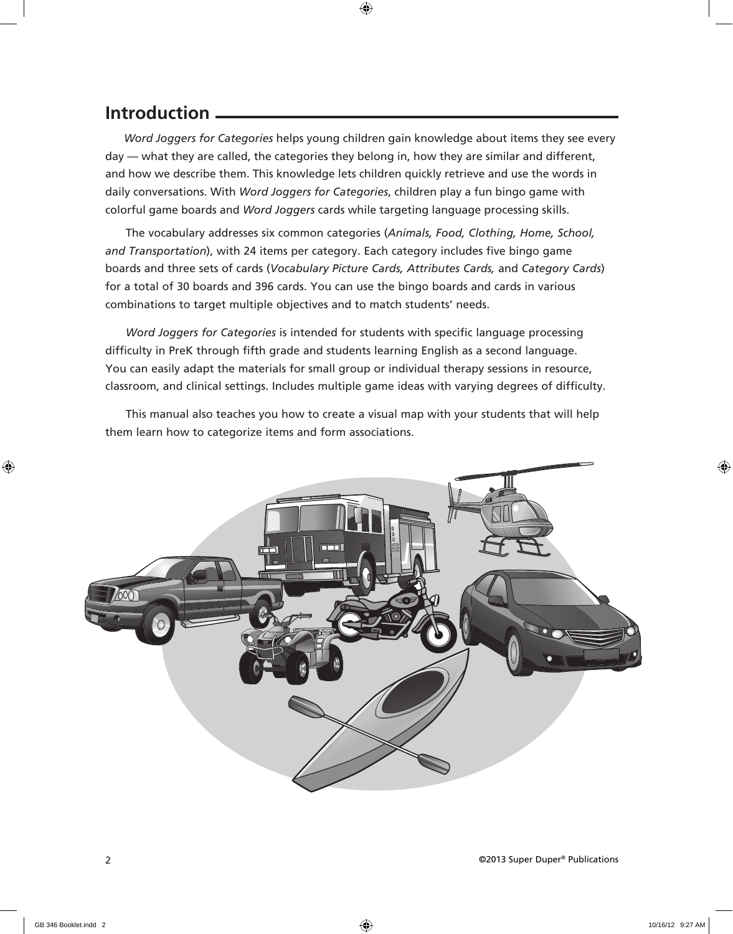## **Introduction**

 *Word Joggers for Categories* helps young children gain knowledge about items they see every day — what they are called, the categories they belong in, how they are similar and different, and how we describe them. This knowledge lets children quickly retrieve and use the words in daily conversations. With *Word Joggers for Categories*, children play a fun bingo game with colorful game boards and *Word Joggers* cards while targeting language processing skills.

The vocabulary addresses six common categories (*Animals, Food, Clothing, Home, School, and Transportation*), with 24 items per category. Each category includes five bingo game boards and three sets of cards (*Vocabulary Picture Cards, Attributes Cards,* and *Category Cards*) for a total of 30 boards and 396 cards. You can use the bingo boards and cards in various combinations to target multiple objectives and to match students' needs.

*Word Joggers for Categories* is intended for students with specific language processing difficulty in PreK through fifth grade and students learning English as a second language. You can easily adapt the materials for small group or individual therapy sessions in resource, classroom, and clinical settings. Includes multiple game ideas with varying degrees of difficulty.

This manual also teaches you how to create a visual map with your students that will help them learn how to categorize items and form associations.

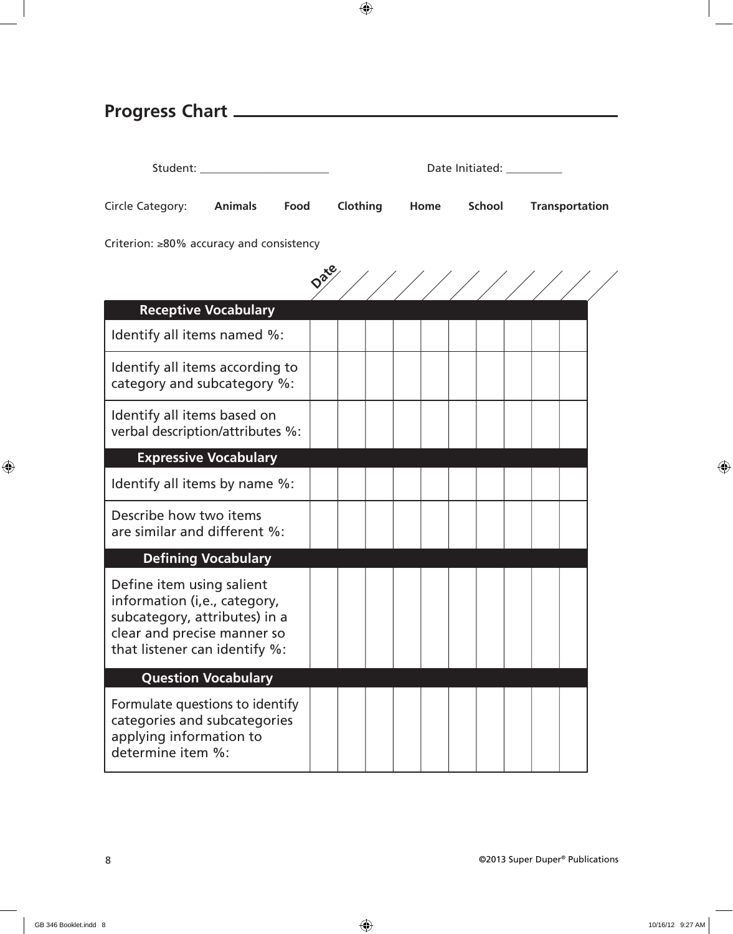| <b>Progress Chart</b>                                                                                                                                      |          |         |                           |                       |  |
|------------------------------------------------------------------------------------------------------------------------------------------------------------|----------|---------|---------------------------|-----------------------|--|
| Student: ________________________                                                                                                                          |          |         | Date Initiated: _________ |                       |  |
| <b>Animals</b><br>Food<br>Circle Category:                                                                                                                 | Clothing | Home    | School                    | <b>Transportation</b> |  |
| Criterion: $\geq 80\%$ accuracy and consistency                                                                                                            |          |         |                           |                       |  |
|                                                                                                                                                            |          | 1/1/1/1 |                           |                       |  |
| <b>Receptive Vocabulary</b>                                                                                                                                |          |         |                           |                       |  |
| Identify all items named %:                                                                                                                                |          |         |                           |                       |  |
| Identify all items according to<br>category and subcategory %:                                                                                             |          |         |                           |                       |  |
| Identify all items based on<br>verbal description/attributes %:                                                                                            |          |         |                           |                       |  |
| <b>Expressive Vocabulary</b>                                                                                                                               |          |         |                           |                       |  |
| Identify all items by name %:                                                                                                                              |          |         |                           |                       |  |
| Describe how two items<br>are similar and different %:                                                                                                     |          |         |                           |                       |  |
| <b>Defining Vocabulary</b>                                                                                                                                 |          |         |                           |                       |  |
| Define item using salient<br>information (i,e., category,<br>subcategory, attributes) in a<br>clear and precise manner so<br>that listener can identify %: |          |         |                           |                       |  |

## **Question Vocabulary**

Formulate questions to identify categories and subcategories applying information to determine item %: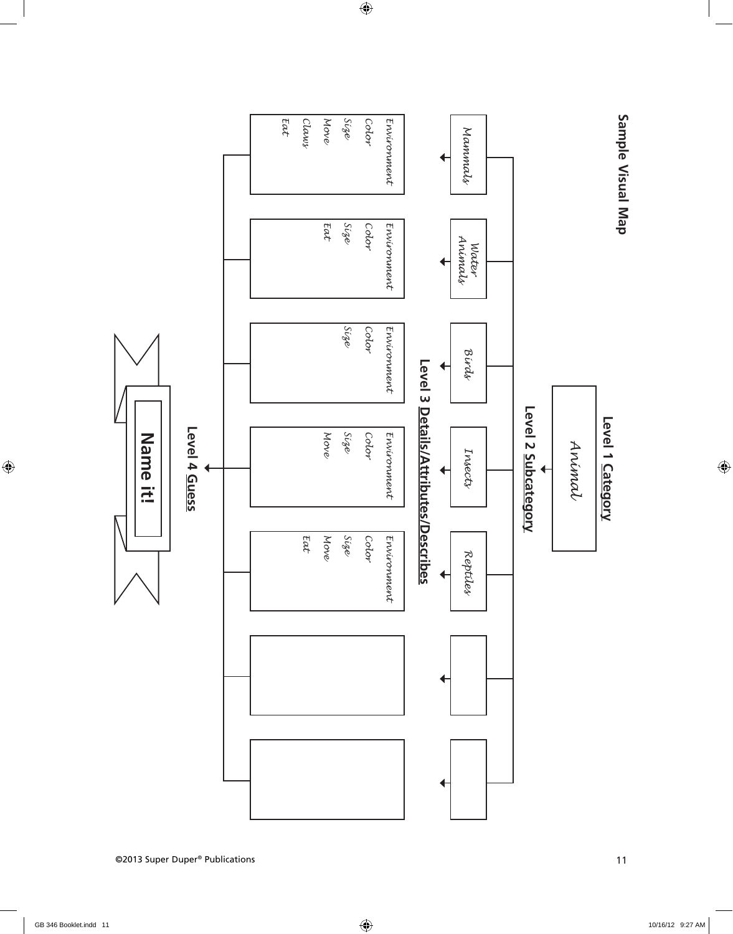